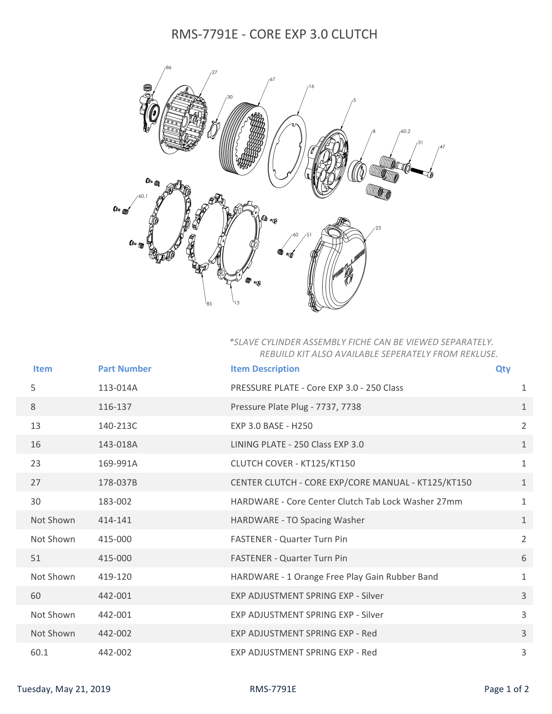## RMS-7791E - CORE EXP 3.0 CLUTCH



## *\*SLAVE CYLINDER ASSEMBLY FICHE CAN BE VIEWED SEPARATELY. REBUILD KIT ALSO AVAILABLE SEPERATELY FROM REKLUSE.*

| <b>Item</b> | <b>Part Number</b> | <b>Item Description</b>                            | <b>Qty</b>     |
|-------------|--------------------|----------------------------------------------------|----------------|
| 5           | 113-014A           | PRESSURE PLATE - Core EXP 3.0 - 250 Class          | 1              |
| 8           | 116-137            | Pressure Plate Plug - 7737, 7738                   | $\mathbf{1}$   |
| 13          | 140-213C           | <b>EXP 3.0 BASE - H250</b>                         | $\overline{2}$ |
| 16          | 143-018A           | LINING PLATE - 250 Class EXP 3.0                   | $\mathbf{1}$   |
| 23          | 169-991A           | CLUTCH COVER - KT125/KT150                         | $\mathbf{1}$   |
| 27          | 178-037B           | CENTER CLUTCH - CORE EXP/CORE MANUAL - KT125/KT150 | $\mathbf{1}$   |
| 30          | 183-002            | HARDWARE - Core Center Clutch Tab Lock Washer 27mm | $\mathbf{1}$   |
| Not Shown   | 414-141            | HARDWARE - TO Spacing Washer                       | $\mathbf{1}$   |
| Not Shown   | 415-000            | <b>FASTENER - Quarter Turn Pin</b>                 | $\overline{2}$ |
| 51          | 415-000            | <b>FASTENER - Quarter Turn Pin</b>                 | 6              |
| Not Shown   | 419-120            | HARDWARE - 1 Orange Free Play Gain Rubber Band     | $\mathbf{1}$   |
| 60          | 442-001            | <b>EXP ADJUSTMENT SPRING EXP - Silver</b>          | 3              |
| Not Shown   | 442-001            | EXP ADJUSTMENT SPRING EXP - Silver                 | $\overline{3}$ |
| Not Shown   | 442-002            | EXP ADJUSTMENT SPRING EXP - Red                    | 3              |
| 60.1        | 442-002            | EXP ADJUSTMENT SPRING EXP - Red                    | 3              |